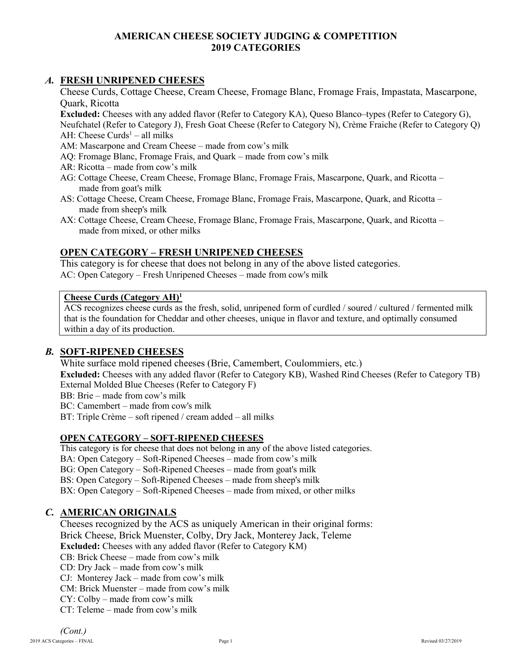## **AMERICAN CHEESE SOCIETY JUDGING & COMPETITION 2019 CATEGORIES**

## *A.* **FRESH UNRIPENED CHEESES**

Cheese Curds, Cottage Cheese, Cream Cheese, Fromage Blanc, Fromage Frais, Impastata, Mascarpone, Quark, Ricotta

**Excluded:** Cheeses with any added flavor (Refer to Category KA), Queso Blanco–types (Refer to Category G), Neufchatel (Refer to Category J), Fresh Goat Cheese (Refer to Category N), Crème Fraiche (Refer to Category Q) AH: Cheese Curds<sup>1</sup> – all milks

AM: Mascarpone and Cream Cheese – made from cow's milk

- AQ: Fromage Blanc, Fromage Frais, and Quark made from cow's milk
- AR: Ricotta made from cow's milk
- AG: Cottage Cheese, Cream Cheese, Fromage Blanc, Fromage Frais, Mascarpone, Quark, and Ricotta made from goat's milk
- AS: Cottage Cheese, Cream Cheese, Fromage Blanc, Fromage Frais, Mascarpone, Quark, and Ricotta made from sheep's milk
- AX: Cottage Cheese, Cream Cheese, Fromage Blanc, Fromage Frais, Mascarpone, Quark, and Ricotta made from mixed, or other milks

## **OPEN CATEGORY – FRESH UNRIPENED CHEESES**

This category is for cheese that does not belong in any of the above listed categories. AC: Open Category – Fresh Unripened Cheeses – made from cow's milk

## **Cheese Curds (Category AH)<sup>1</sup>**

ACS recognizes cheese curds as the fresh, solid, unripened form of curdled / soured / cultured / fermented milk that is the foundation for Cheddar and other cheeses, unique in flavor and texture, and optimally consumed within a day of its production.

## *B.* **SOFT-RIPENED CHEESES**

White surface mold ripened cheeses (Brie, Camembert, Coulommiers, etc.)

**Excluded:** Cheeses with any added flavor (Refer to Category KB), Washed Rind Cheeses (Refer to Category TB) External Molded Blue Cheeses (Refer to Category F)

BB: Brie – made from cow's milk

BC: Camembert – made from cow's milk

BT: Triple Crème – soft ripened / cream added – all milks

## **OPEN CATEGORY – SOFT-RIPENED CHEESES**

This category is for cheese that does not belong in any of the above listed categories.

BA: Open Category – Soft-Ripened Cheeses – made from cow's milk

BG: Open Category – Soft-Ripened Cheeses – made from goat's milk

BS: Open Category – Soft-Ripened Cheeses – made from sheep's milk

BX: Open Category – Soft-Ripened Cheeses – made from mixed, or other milks

# *C.* **AMERICAN ORIGINALS**

Cheeses recognized by the ACS as uniquely American in their original forms: Brick Cheese, Brick Muenster, Colby, Dry Jack, Monterey Jack, Teleme **Excluded:** Cheeses with any added flavor (Refer to Category KM) CB: Brick Cheese – made from cow's milk

CD: Dry Jack – made from cow's milk

CJ: Monterey Jack – made from cow's milk

CM: Brick Muenster – made from cow's milk

CY: Colby – made from cow's milk

CT: Teleme – made from cow's milk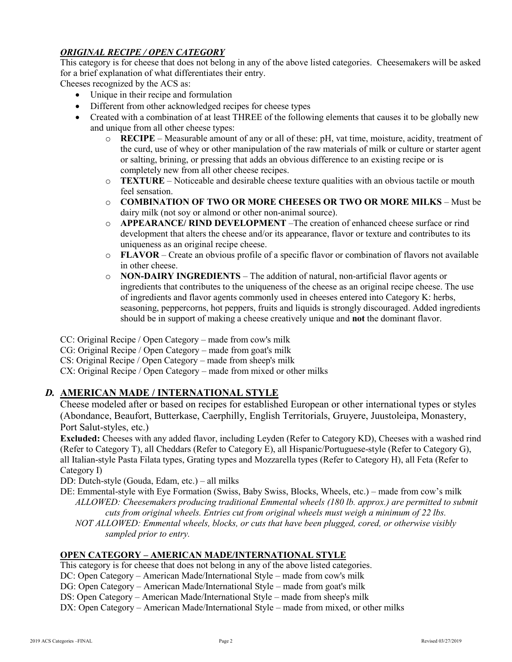# *ORIGINAL RECIPE / OPEN CATEGORY*

This category is for cheese that does not belong in any of the above listed categories. Cheesemakers will be asked for a brief explanation of what differentiates their entry.

Cheeses recognized by the ACS as:

- Unique in their recipe and formulation
- Different from other acknowledged recipes for cheese types
- Created with a combination of at least THREE of the following elements that causes it to be globally new and unique from all other cheese types:
	- o **RECIPE** Measurable amount of any or all of these: pH, vat time, moisture, acidity, treatment of the curd, use of whey or other manipulation of the raw materials of milk or culture or starter agent or salting, brining, or pressing that adds an obvious difference to an existing recipe or is completely new from all other cheese recipes.
	- o **TEXTURE** Noticeable and desirable cheese texture qualities with an obvious tactile or mouth feel sensation.
	- o **COMBINATION OF TWO OR MORE CHEESES OR TWO OR MORE MILKS** Must be dairy milk (not soy or almond or other non-animal source).
	- o **APPEARANCE/ RIND DEVELOPMENT** –The creation of enhanced cheese surface or rind development that alters the cheese and/or its appearance, flavor or texture and contributes to its uniqueness as an original recipe cheese.
	- o **FLAVOR** Create an obvious profile of a specific flavor or combination of flavors not available in other cheese.
	- o **NON-DAIRY INGREDIENTS** The addition of natural, non-artificial flavor agents or ingredients that contributes to the uniqueness of the cheese as an original recipe cheese. The use of ingredients and flavor agents commonly used in cheeses entered into Category K: herbs, seasoning, peppercorns, hot peppers, fruits and liquids is strongly discouraged. Added ingredients should be in support of making a cheese creatively unique and **not** the dominant flavor.

CC: Original Recipe / Open Category – made from cow's milk

CG: Original Recipe / Open Category – made from goat's milk

CS: Original Recipe / Open Category – made from sheep's milk

CX: Original Recipe / Open Category – made from mixed or other milks

# *D.* **AMERICAN MADE / INTERNATIONAL STYLE**

Cheese modeled after or based on recipes for established European or other international types or styles (Abondance, Beaufort, Butterkase, Caerphilly, English Territorials, Gruyere, Juustoleipa, Monastery, Port Salut-styles, etc.)

**Excluded:** Cheeses with any added flavor, including Leyden (Refer to Category KD), Cheeses with a washed rind (Refer to Category T), all Cheddars (Refer to Category E), all Hispanic/Portuguese-style (Refer to Category G), all Italian-style Pasta Filata types, Grating types and Mozzarella types (Refer to Category H), all Feta (Refer to Category I)

DD: Dutch-style (Gouda, Edam, etc.) – all milks

- DE: Emmental-style with Eye Formation (Swiss, Baby Swiss, Blocks, Wheels, etc.) made from cow's milk *ALLOWED: Cheesemakers producing traditional Emmental wheels (180 lb. approx.) are permitted to submit cuts from original wheels. Entries cut from original wheels must weigh a minimum of 22 lbs.*
	- *NOT ALLOWED: Emmental wheels, blocks, or cuts that have been plugged, cored, or otherwise visibly sampled prior to entry.*

## **OPEN CATEGORY – AMERICAN MADE/INTERNATIONAL STYLE**

This category is for cheese that does not belong in any of the above listed categories.

DC: Open Category – American Made/International Style – made from cow's milk

DG: Open Category – American Made/International Style – made from goat's milk

DS: Open Category – American Made/International Style – made from sheep's milk

DX: Open Category – American Made/International Style – made from mixed, or other milks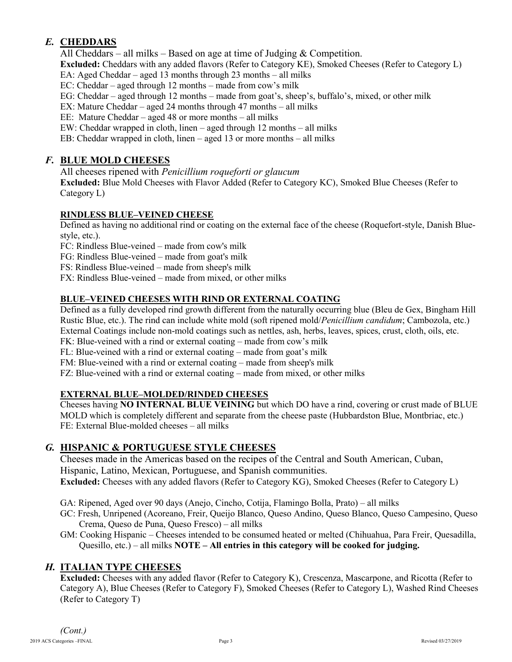# *E.* **CHEDDARS**

All Cheddars – all milks – Based on age at time of Judging & Competition.

**Excluded:** Cheddars with any added flavors (Refer to Category KE), Smoked Cheeses (Refer to Category L)

EA: Aged Cheddar – aged 13 months through 23 months – all milks

EC: Cheddar – aged through 12 months – made from cow's milk

EG: Cheddar – aged through 12 months – made from goat's, sheep's, buffalo's, mixed, or other milk

EX: Mature Cheddar – aged 24 months through 47 months – all milks

EE: Mature Cheddar – aged 48 or more months – all milks

EW: Cheddar wrapped in cloth, linen – aged through 12 months – all milks

EB: Cheddar wrapped in cloth, linen – aged 13 or more months – all milks

# *F.* **BLUE MOLD CHEESES**

All cheeses ripened with *Penicillium roqueforti or glaucum* 

**Excluded:** Blue Mold Cheeses with Flavor Added (Refer to Category KC), Smoked Blue Cheeses (Refer to Category L)

# **RINDLESS BLUE–VEINED CHEESE**

Defined as having no additional rind or coating on the external face of the cheese (Roquefort-style, Danish Bluestyle, etc.).

FC: Rindless Blue-veined – made from cow's milk

FG: Rindless Blue-veined – made from goat's milk

FS: Rindless Blue-veined – made from sheep's milk

FX: Rindless Blue-veined – made from mixed, or other milks

# **BLUE–VEINED CHEESES WITH RIND OR EXTERNAL COATING**

Defined as a fully developed rind growth different from the naturally occurring blue (Bleu de Gex, Bingham Hill Rustic Blue, etc.). The rind can include white mold (soft ripened mold/*Penicillium candidum*; Cambozola, etc.) External Coatings include non-mold coatings such as nettles, ash, herbs, leaves, spices, crust, cloth, oils, etc. FK: Blue-veined with a rind or external coating – made from cow's milk

FL: Blue-veined with a rind or external coating – made from goat's milk

FM: Blue-veined with a rind or external coating – made from sheep's milk

FZ: Blue-veined with a rind or external coating – made from mixed, or other milks

## **EXTERNAL BLUE–MOLDED/RINDED CHEESES**

Cheeses having **NO INTERNAL BLUE VEINING** but which DO have a rind, covering or crust made of BLUE MOLD which is completely different and separate from the cheese paste (Hubbardston Blue, Montbriac, etc.) FE: External Blue-molded cheeses – all milks

# *G.* **HISPANIC & PORTUGUESE STYLE CHEESES**

Cheeses made in the Americas based on the recipes of the Central and South American, Cuban, Hispanic, Latino, Mexican, Portuguese, and Spanish communities. **Excluded:** Cheeses with any added flavors (Refer to Category KG), Smoked Cheeses (Refer to Category L)

GA: Ripened, Aged over 90 days (Anejo, Cincho, Cotija, Flamingo Bolla, Prato) – all milks

GC: Fresh, Unripened (Acoreano, Freir, Queijo Blanco, Queso Andino, Queso Blanco, Queso Campesino, Queso Crema, Queso de Puna, Queso Fresco) – all milks

GM: Cooking Hispanic – Cheeses intended to be consumed heated or melted (Chihuahua, Para Freir, Quesadilla, Quesillo, etc.) – all milks **NOTE – All entries in this category will be cooked for judging.**

# *H.* **ITALIAN TYPE CHEESES**

**Excluded:** Cheeses with any added flavor (Refer to Category K), Crescenza, Mascarpone, and Ricotta (Refer to Category A), Blue Cheeses (Refer to Category F), Smoked Cheeses (Refer to Category L), Washed Rind Cheeses (Refer to Category T)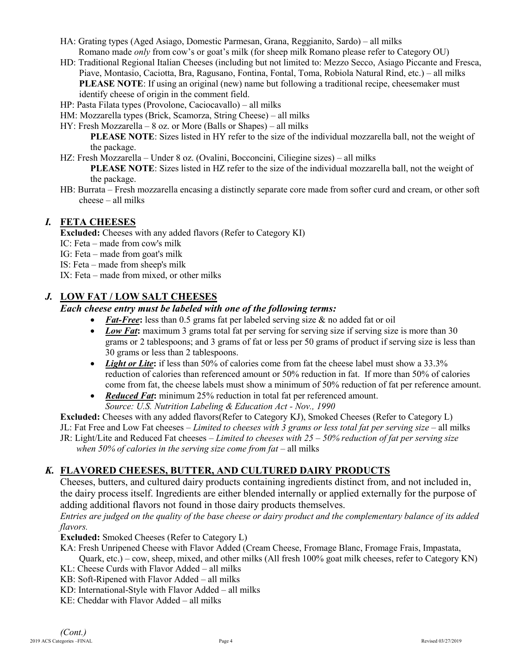- HA: Grating types (Aged Asiago, Domestic Parmesan, Grana, Reggianito, Sardo) all milks Romano made *only* from cow's or goat's milk (for sheep milk Romano please refer to Category OU)
- HD: Traditional Regional Italian Cheeses (including but not limited to: Mezzo Secco, Asiago Piccante and Fresca, Piave, Montasio, Caciotta, Bra, Ragusano, Fontina, Fontal, Toma, Robiola Natural Rind, etc.) – all milks **PLEASE NOTE:** If using an original (new) name but following a traditional recipe, cheesemaker must identify cheese of origin in the comment field.
- HP: Pasta Filata types (Provolone, Caciocavallo) all milks
- HM: Mozzarella types (Brick, Scamorza, String Cheese) all milks
- HY: Fresh Mozzarella 8 oz. or More (Balls or Shapes) all milks

**PLEASE NOTE:** Sizes listed in HY refer to the size of the individual mozzarella ball, not the weight of the package.

HZ: Fresh Mozzarella – Under 8 oz. (Ovalini, Bocconcini, Ciliegine sizes) – all milks

**PLEASE NOTE**: Sizes listed in HZ refer to the size of the individual mozzarella ball, not the weight of the package.

HB: Burrata – Fresh mozzarella encasing a distinctly separate core made from softer curd and cream, or other soft cheese – all milks

## *I.* **FETA CHEESES**

**Excluded:** Cheeses with any added flavors (Refer to Category KI)

- IC: Feta made from cow's milk
- IG: Feta made from goat's milk
- IS: Feta made from sheep's milk
- IX: Feta made from mixed, or other milks

## *J.* **LOW FAT / LOW SALT CHEESES**

## *Each cheese entry must be labeled with one of the following terms:*

- Fat-Free: less than 0.5 grams fat per labeled serving size & no added fat or oil
- *Low Fat*: maximum 3 grams total fat per serving for serving size if serving size is more than 30 grams or 2 tablespoons; and 3 grams of fat or less per 50 grams of product if serving size is less than 30 grams or less than 2 tablespoons.
- *Light or Lite*: if less than 50% of calories come from fat the cheese label must show a 33.3% reduction of calories than referenced amount or 50% reduction in fat. If more than 50% of calories come from fat, the cheese labels must show a minimum of 50% reduction of fat per reference amount.
- *Reduced Fat***:** minimum 25% reduction in total fat per referenced amount. *Source: U.S. Nutrition Labeling & Education Act - Nov., 1990*

**Excluded:** Cheeses with any added flavors(Refer to Category KJ), Smoked Cheeses (Refer to Category L) JL: Fat Free and Low Fat cheeses – *Limited to cheeses with 3 grams or less total fat per serving size* – all milks JR: Light/Lite and Reduced Fat cheeses – *Limited to cheeses with 25 – 50% reduction of fat per serving size* when 50% of calories in the serving size come from fat – all milks

# *K.* **FLAVORED CHEESES, BUTTER, AND CULTURED DAIRY PRODUCTS**

Cheeses, butters, and cultured dairy products containing ingredients distinct from, and not included in, the dairy process itself. Ingredients are either blended internally or applied externally for the purpose of adding additional flavors not found in those dairy products themselves.

*Entries are judged on the quality of the base cheese or dairy product and the complementary balance of its added flavors.*

**Excluded:** Smoked Cheeses (Refer to Category L)

- KA: Fresh Unripened Cheese with Flavor Added (Cream Cheese, Fromage Blanc, Fromage Frais, Impastata,
- Quark, etc.) cow, sheep, mixed, and other milks (All fresh 100% goat milk cheeses, refer to Category KN) KL: Cheese Curds with Flavor Added – all milks
- KB: Soft-Ripened with Flavor Added all milks
- KD: International-Style with Flavor Added all milks
- KE: Cheddar with Flavor Added all milks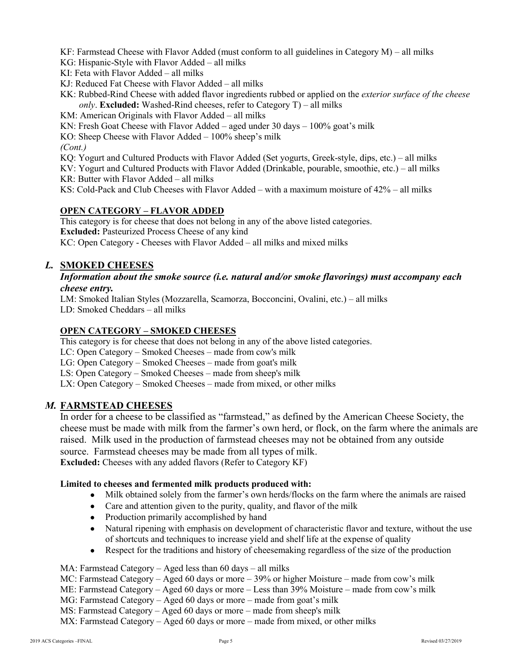KF: Farmstead Cheese with Flavor Added (must conform to all guidelines in Category M) – all milks

KG: Hispanic-Style with Flavor Added – all milks

- KI: Feta with Flavor Added all milks
- KJ: Reduced Fat Cheese with Flavor Added all milks
- KK: Rubbed-Rind Cheese with added flavor ingredients rubbed or applied on the *exterior surface of the cheese only*. **Excluded:** Washed-Rind cheeses, refer to Category T) – all milks
- KM: American Originals with Flavor Added all milks
- KN: Fresh Goat Cheese with Flavor Added aged under 30 days 100% goat's milk
- KO: Sheep Cheese with Flavor Added 100% sheep's milk

*(Cont.)*

KQ: Yogurt and Cultured Products with Flavor Added (Set yogurts, Greek-style, dips, etc.) – all milks

KV: Yogurt and Cultured Products with Flavor Added (Drinkable, pourable, smoothie, etc.) – all milks

- KR: Butter with Flavor Added all milks
- KS: Cold-Pack and Club Cheeses with Flavor Added with a maximum moisture of 42% all milks

## **OPEN CATEGORY – FLAVOR ADDED**

This category is for cheese that does not belong in any of the above listed categories. **Excluded:** Pasteurized Process Cheese of any kind KC: Open Category - Cheeses with Flavor Added – all milks and mixed milks

## *L.* **SMOKED CHEESES**

#### *Information about the smoke source (i.e. natural and/or smoke flavorings) must accompany each cheese entry.*

LM: Smoked Italian Styles (Mozzarella, Scamorza, Bocconcini, Ovalini, etc.) – all milks LD: Smoked Cheddars – all milks

## **OPEN CATEGORY – SMOKED CHEESES**

This category is for cheese that does not belong in any of the above listed categories.

LC: Open Category – Smoked Cheeses – made from cow's milk

LG: Open Category – Smoked Cheeses – made from goat's milk

LS: Open Category – Smoked Cheeses – made from sheep's milk

LX: Open Category – Smoked Cheeses – made from mixed, or other milks

## *M.* **FARMSTEAD CHEESES**

In order for a cheese to be classified as "farmstead," as defined by the American Cheese Society, the cheese must be made with milk from the farmer's own herd, or flock, on the farm where the animals are raised. Milk used in the production of farmstead cheeses may not be obtained from any outside source. Farmstead cheeses may be made from all types of milk.

**Excluded:** Cheeses with any added flavors (Refer to Category KF)

#### **Limited to cheeses and fermented milk products produced with:**

- Milk obtained solely from the farmer's own herds/flocks on the farm where the animals are raised
- Care and attention given to the purity, quality, and flavor of the milk
- Production primarily accomplished by hand
- Natural ripening with emphasis on development of characteristic flavor and texture, without the use of shortcuts and techniques to increase yield and shelf life at the expense of quality
- Respect for the traditions and history of cheesemaking regardless of the size of the production

MA: Farmstead Category – Aged less than 60 days – all milks

MC: Farmstead Category – Aged 60 days or more – 39% or higher Moisture – made from cow's milk

ME: Farmstead Category – Aged 60 days or more – Less than 39% Moisture – made from cow's milk

MG: Farmstead Category – Aged 60 days or more – made from goat's milk

MS: Farmstead Category – Aged 60 days or more – made from sheep's milk

MX: Farmstead Category – Aged 60 days or more – made from mixed, or other milks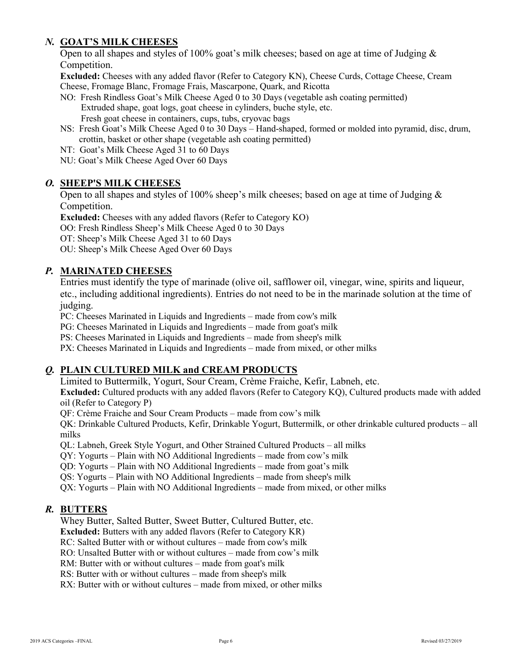# *N.* **GOAT'S MILK CHEESES**

Open to all shapes and styles of 100% goat's milk cheeses; based on age at time of Judging & Competition.

**Excluded:** Cheeses with any added flavor (Refer to Category KN), Cheese Curds, Cottage Cheese, Cream Cheese, Fromage Blanc, Fromage Frais, Mascarpone, Quark, and Ricotta

- NO: Fresh Rindless Goat's Milk Cheese Aged 0 to 30 Days (vegetable ash coating permitted) Extruded shape, goat logs, goat cheese in cylinders, buche style, etc. Fresh goat cheese in containers, cups, tubs, cryovac bags
- NS: Fresh Goat's Milk Cheese Aged 0 to 30 Days Hand-shaped, formed or molded into pyramid, disc, drum, crottin, basket or other shape (vegetable ash coating permitted)
- NT: Goat's Milk Cheese Aged 31 to 60 Days
- NU: Goat's Milk Cheese Aged Over 60 Days

## *O.* **SHEEP'S MILK CHEESES**

Open to all shapes and styles of 100% sheep's milk cheeses; based on age at time of Judging & Competition.

**Excluded:** Cheeses with any added flavors (Refer to Category KO)

OO: Fresh Rindless Sheep's Milk Cheese Aged 0 to 30 Days

OT: Sheep's Milk Cheese Aged 31 to 60 Days

OU: Sheep's Milk Cheese Aged Over 60 Days

## *P.* **MARINATED CHEESES**

Entries must identify the type of marinade (olive oil, safflower oil, vinegar, wine, spirits and liqueur, etc., including additional ingredients). Entries do not need to be in the marinade solution at the time of judging.

PC: Cheeses Marinated in Liquids and Ingredients – made from cow's milk

PG: Cheeses Marinated in Liquids and Ingredients – made from goat's milk

PS: Cheeses Marinated in Liquids and Ingredients – made from sheep's milk

PX: Cheeses Marinated in Liquids and Ingredients – made from mixed, or other milks

## *Q.* **PLAIN CULTURED MILK and CREAM PRODUCTS**

Limited to Buttermilk, Yogurt, Sour Cream, Crème Fraiche, Kefir, Labneh, etc.

**Excluded:** Cultured products with any added flavors (Refer to Category KQ), Cultured products made with added oil (Refer to Category P)

QF: Crème Fraiche and Sour Cream Products – made from cow's milk

QK: Drinkable Cultured Products, Kefir, Drinkable Yogurt, Buttermilk, or other drinkable cultured products – all milks

QL: Labneh, Greek Style Yogurt, and Other Strained Cultured Products – all milks

QY: Yogurts – Plain with NO Additional Ingredients – made from cow's milk

QD: Yogurts – Plain with NO Additional Ingredients – made from goat's milk

QS: Yogurts – Plain with NO Additional Ingredients – made from sheep's milk

QX: Yogurts – Plain with NO Additional Ingredients – made from mixed, or other milks

# *R.* **BUTTERS**

Whey Butter, Salted Butter, Sweet Butter, Cultured Butter, etc.

**Excluded:** Butters with any added flavors (Refer to Category KR)

RC: Salted Butter with or without cultures – made from cow's milk

RO: Unsalted Butter with or without cultures – made from cow's milk

RM: Butter with or without cultures – made from goat's milk

RS: Butter with or without cultures – made from sheep's milk

RX: Butter with or without cultures – made from mixed, or other milks